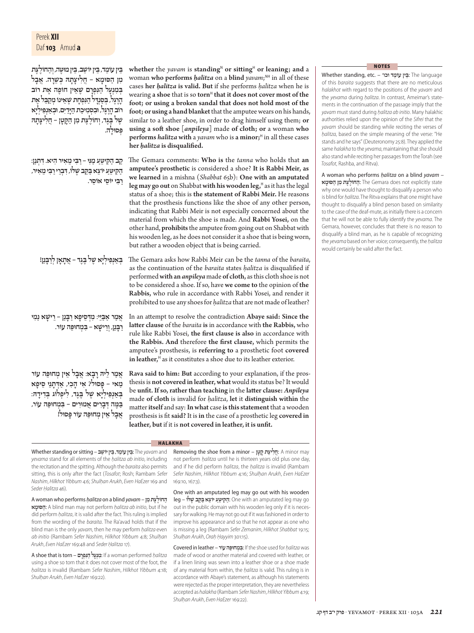# Perek **XII** Daf **103** Amud **a**

**her** *ĥalitza* **is disqualifi ed.** The Gemara comments: Who is the *tanna* who holds that an but rather a wooden object that is being carried. The Gemara asks how Rabbi Meir can be the *tanna* of the *baraita*, In an attempt to resolve the contradiction Abaye said: Since the **ֵּבין ֵעוֹמד, ֵּבין ֵׁ יוֹשב, ֵּבין ּמו ֶּטה, ְוַה ֶחוֹלֶצת ּכ ֵׁשָרה. ֲאָבל ִמן ַה ּסּוָמא – ֲח ִל ָיצָת ּה ְ ּנְפָרם ֶׁשֵאין ֶחוֹפה ֶאת רוֹב ְּב ִמְנָעל ַהִ ּנְפָחת ֶׁשֵאינוֹ ְמַקֵּבל ֶאת ָהֶרֶגל, ְּבַסְנָּדל ַהִ רוֹב ָהֶרֶגל, ּוִב ְס ִמ ַיכת ַהָיַּדִים, ּוְבַאְנִּפ ְילָיא ֶׁשל ֶּבֶגד, ְו ֶחוֹלֶצת ִמן ַהָּקָטן – ֲח ִל ָיצָת ּה ְּפ ּסוָלה. ּני – ַרִּבי ֵמ ִאיר ִהיא. ִ ּד ְתַנן: ַקב ַה ִּק ֵּיטע ַמִ ַה ִּק ֵּיטע ֵ יוֹצא ַּבַּקב ֶׁשּלוֹ, ִ ּד ְבֵריַרִּבי ֵמ ִאיר, ַרִּבי ֵ יוֹסי ֵאוֹסר. ְּבַאְנִּפ ְילָיא ֶׁשל ֶּבֶגד – ֲאָתָאן ְלַרָּבַנן! ֲאַמר ַאַּבֵיי: ִמְ ּדֵס ָיפאַרָּבַנן – ֵר ָׁ ישא ַנִמי ַרָּבַנן, ְוֵר ָׁ ישא – ִּב ְמ ּחוֵּפה עוֹר. ֲאַמר ֵל ּיהָרָבא: ֲאָבל ֵאין ְמ ּחוֵּפה עוֹר ַמאי – ָּפ ּסול? ִאי ָה ִכי, ַאְ ּדָתֵני ֵס ָיפא ְּבַאְנִּפ ְילָיא ֶׁשל ֶּבֶגד, ִל ְיפלוֹג ְּבִד ָיד ּה: ַּב ֶּמה ְ ּדָבִרים ֲא ּמוִרים – ִּב ְמ ּחוֵּפה עוֹר, ֲאָבל ֵאין ְמ ּחוֵּפה עוֹר ָּפ ּסול!** 

**whether** the *yavam* is **standing**<sup>N</sup> or **sitting**<sup>H</sup> or leaning; and a woman **who performs** *ḥalitza* on a **blind**  $yawam;$ <sup>NH</sup> in all of these cases **her** *ĥalitza* **is valid. But** if she performs *ĥalitza* when he is wearing a shoe that is so torn<sup>H</sup> that it does not cover most of the **foot; or using a broken sandal that does not hold most of the foot; or using a hand blanket** that the amputee wears on his hands, similar to a leather shoe, in order to drag himself using them; **or using a soft shoe [***anpileya***]** made **of cloth; or** a woman **who performs** *halitza* with a *yavam* who is a minor;<sup>H</sup> in all these cases

**amputee's prosthetic** is considered a shoe? **It is Rabbi Meir, as**  we learned in a mishna (*Shabbat* 65b): One with an amputated **leg may go out** on Shabbat**with his wooden leg,**<sup>H</sup>as it has the legal status of a shoe; this is **the statement of Rabbi Meir.** He reasons that the prosthesis functions like the shoe of any other person, indicating that Rabbi Meir is not especially concerned about the material from which the shoe is made. And **Rabbi Yosei,** on the other hand, **prohibits** the amputee from going out on Shabbatwith his wooden leg, as he does not consider it a shoe that is being worn,

as the continuation of the *baraita* states *halitza* is disqualified if performed **with an** *anpileya*made **of cloth,** as this cloth shoe is not to be considered a shoe. If so, have **we come to** the opinion of **the Rabbis,** who rule in accordance with Rabbi Yosei, and render it prohibited to use any shoes for *ĥalitza* that are not made of leather?

> **latt er clause** of the *baraita* **is** in accordance with **the Rabbis,** who rule like Rabbi Yosei, **the fi rst clause is also** in accordance with **the Rabbis. And** therefore **the fi rst clause,** which permits the amputee's prosthesis, is **referring to** a prosthetic foot **covered in leather,**<sup>H</sup>as it constitutes a shoe due to its leather exterior.

> **Rava said to him: But** according to your explanation, if the prosthesis is **not covered in leather, what** would its status be? It would be **unfi t. If so, rather than teaching** in the **latt er clause:** *Anpileya* made **of cloth** is invalid for *ĥalitza*, **let** it **distinguish within** the matter itself and say: In what case is this statement that a wooden prosthesis is fit**said?** It is **in** the case of a prosthetic leg **covered in leather, but** if it is **not covered in leather, it is unfi t.**

#### **HALAKHA**

 Whether standing or sitting – **יוֹשב ֵׁ ביןֵּ ,עוֹמדֵ ביןֵּ**: The *yavam* and *yevama* stand for all elements of the *ĥalitza ab initio*, including the recitation and the spitting. Although the *baraita* also permits sitting, this is only after the fact (*Tosafot*; Rosh; Rambam *Sefer Nashim*, *Hilkhot Yibbum* 4:6; *Shulĥan Arukh*, *Even HaEzer* 169 and *Seder Ĥalitza* 46).

 A woman who performs *ĥalitza* on a blind *yavam* – **מןִ צתֶחוֹלֶ הַ מאָוּסּ הַ**: A blind man may not perform *ĥalitza ab initio*, but if he did perform *ĥalitza*, it is valid after the fact. This ruling is implied from the wording of the *baraita*. The Ra'avad holds that if the blind man is the only *yavam*, then he may perform *ĥalitza* even *ab initio* (Rambam *Sefer Nashim*, *Hilkhot Yibbum* 4:8; *Shulĥan Arukh*, *Even HaEzer* 169:48 and *Seder Ĥalitza* 17).

 A shoe that is torn – **רםָפְנּ ִהַ עלָנְמִ** : If a woman performed *ĥalitza* using a shoe so torn that it does not cover most of the foot, the *ĥalitza* is invalid (Rambam *Sefer Nashim*, *Hilkhot Yibbum* 4:18; *Shulĥan Arukh*, *Even HaEzer* 169:22).

 Removing the shoe from a minor – **טןָקָ יצתַ לִחֲ**: A minor may not perform *ĥalitza* until he is thirteen years old plus one day, and if he did perform *ĥalitza*, the *ĥalitza* is invalid (Rambam *Sefer Nashim*, *Hilkhot Yibbum* 4:16; *Shulĥan Arukh*, *Even HaEzer* 169:10, 167:3).

 One with an amputated leg may go out with his wooden go may leg amputated an with One **ַ**:**ה ִּק ֵּיטע ֵ יוֹצא ַּבַּקב ֶׁשּלוֹ** – leg out in the public domain with his wooden leg only if it is necessary for walking. He may not go out if it was fashioned in order to improve his appearance and so that he not appear as one who is missing a leg (Rambam *Sefer Zemanim*, *Hilkhot Shabbat* 19:15; *Shulĥan Arukh*, *Oraĥ Ĥayyim* 301:15).

 Covered in leather – **עוֹר פהֵּחוּ מְ בִּ** : If the shoe used for *ĥalitza* was made of wood or another material and covered with leather, or if a linen lining was sewn into a leather shoe or a shoe made of any material from within, the *ĥalitza* is valid. This ruling is in accordance with Abaye's statement, as although his statements were rejected as the proper interpretation, they are nevertheless accepted as *halakha* (Rambam *Sefer Nashim*, *Hilkhot Yibbum* 4:19; *Shulĥan Arukh*, *Even HaEzer* 169:22).

**NOTES**

 Whether standing, etc. – **וכו׳ עוֹמדֵ ביןֵּ**: The language of this *baraita* suggests that there are no meticulous *halakhot* with regard to the positions of the *yavam* and the *yevama* during *ĥalitza*. In contrast, Ameimar's statements in the continuation of the passage imply that the *yavam* must stand during *ĥalitza ab initio*. Many halakhic authorities relied upon the opinion of the *Sifrei* that the *yavam* should be standing while reciting the verses of *ĥalitza*, based on the simple meaning of the verse: "He stands and he says" (Deuteronomy 25:8). They applied the same *halakha* to the *yevama*, maintaining that she should also stand while reciting her passages from the Torah (see *Tosafot*, Rashba, and Ritva).

 A woman who performs *ĥalitza* on a blind *yavam* – state explicitly not does Gemara The **ַ**:**ה ֶחוֹלֶצת ִמן ַה ּסּוָמא** why one would have thought to disqualify a person who is blind for *ĥalitza*. The Ritva explains that one might have thought to disqualify a blind person based on similarity to the case of the deaf-mute, as initially there is a concern that he will not be able to fully identify the *yevama*. The Gemara, however, concludes that there is no reason to disqualify a blind man, as he is capable of recognizing the *yevama* based on her voice; consequently, the *ĥalitza* would certainly be valid after the fact.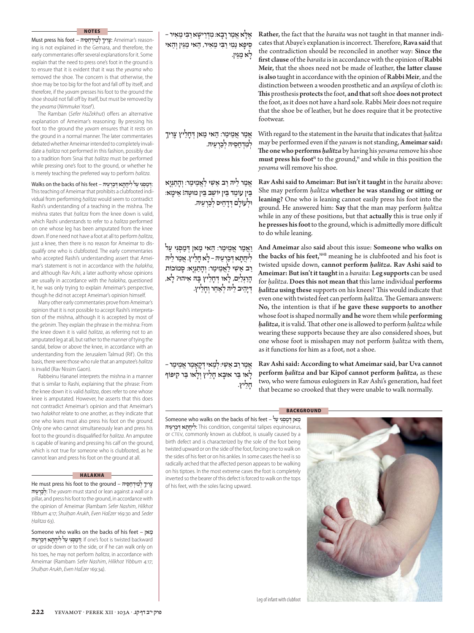### **NOTES**

 Must press his foot – **יהּ סֵחַידְ מִ לְ יךְ רִצָ**: Ameimar's reasoning is not explained in the Gemara, and therefore, the early commentaries offer several explanations for it. Some explain that the need to press one's foot in the ground is to ensure that it is evident that it was the *yevama* who removed the shoe. The concern is that otherwise, the shoe may be too big for the foot and fall off by itself, and therefore, if the *yavam* presses his foot to the ground the shoe should not fall off by itself, but must be removed by the *yevama* (*Nimmukei Yosef* ).

The Ramban (Sefer HaZekhut) offers an alternative explanation of Ameimar's reasoning: By pressing his foot to the ground the *yavam* ensures that it rests on the ground in a normal manner. The later commentaries debated whether Ameimar intended to completely invalidate a *ĥalitza* not performed in this fashion, possibly due to a tradition from Sinai that *ĥalitza* must be performed while pressing one's foot to the ground, or whether he is merely teaching the preferred way to perform *ĥalitza*.

**ְ**: **ּדַמ ְסִגי ַעל ִל ֲיחָתא ְ ּדַכְרֵע ּיה** – feet his of backs the on Walks This teaching of Ameimar that prohibits a clubfooted individual from performing *ĥalitza* would seem to contradict Rashi's understanding of a teaching in the mishna. The mishna states that *ĥalitza* from the knee down is valid, which Rashi understands to refer to a *ĥalitza* performed on one whose leg has been amputated from the knee down. If one need not have a foot at all to perform *ĥalitza*, just a knee, then there is no reason for Ameimar to disqualify one who is clubfooted. The early commentaries who accepted Rashi's understanding assert that Ameimar's statement is not in accordance with the *halakha*, and although Rav Ashi, a later authority whose opinions are usually in accordance with the *halakha*, questioned it, he was only trying to explain Ameimar's perspective, though he did not accept Ameimar's opinion himself.

Many other early commentaries prove from Ameimar's opinion that it is not possible to accept Rashi's interpretation of the mishna, although it is accepted by most of the *ge'onim*. They explain the phrase in the mishna: From the knee down it is valid *ĥalitza*, as referring not to an amputated leg at all, but rather to the manner of tying the sandal, below or above the knee, in accordance with an understanding from the Jerusalem Talmud (Rif). On this basis, there were those who rule that an amputee's *ĥalitza* is invalid (Rav Nissim Gaon).

Rabbeinu Ĥananel interprets the mishna in a manner that is similar to Rashi, explaining that the phrase: From the knee down it is valid *ĥalitza*, does refer to one whose knee is amputated. However, he asserts that this does not contradict Ameimar's opinion and that Ameimar's two *halakhot* relate to one another, as they indicate that one who leans must also press his foot on the ground. Only one who cannot simultaneously lean and press his foot to the ground is disqualified for *halitza*. An amputee is capable of leaning and pressing his calf on the ground, which is not true for someone who is clubfooted, as he cannot lean and press his foot on the ground at all.

#### **HALAKHA**

**P P P i i** *x le must press his foot to the ground – עֵרִיךָ לְמִידְחַסֵּיה* **יהּ עֵרְכַלְ** : The *yavam* must stand or lean against a wall or a pillar, and press his foot to the ground, in accordance with the opinion of Ameimar (Rambam *Sefer Nashim*, *Hilkhot Yibbum* 4:17; *Shulĥan Arukh*, *Even HaEzer* 169:30 and *Seder Ĥalitza* 63).

 Someone who walks on the backs of his feet – **מאןַ** backward twisted is foot s'one If **ְ**: **ּדַמ ְסִגי ַעל ִל ֲיחָתא ְ ּדַכְרֵע ּיה** or upside down or to the side, or if he can walk only on his toes, he may not perform *ĥalitza*, in accordance with Ameimar (Rambam *Sefer Nashim*, *Hilkhot Yibbum* 4:17; *Shulĥan Arukh*, *Even HaEzer* 169:34).

| אַלָּא אֲמַר רָבָא: מִדְּרֵישָׁא רַבִּי מֵאִיר – I |   |
|----------------------------------------------------|---|
| סֵיפָא נַמִי רַבִּי מֵאִיר, הַאי מֵגֵין וְהַאי     |   |
| לא מגין.                                           | t |

**ֲאַמר ֲאֵמ ַימר: ַהאי ַמאן ְ ּדָחֵליץ ָצִר ְיך ְל ִמְדַחֵס ּיה ְלַכְרֵע ּיה.** 

**ֲאַמר ֵל ּיהַרב ַאׁ ִשי ַלֲאֵמ ַימר: ְוָהַתְנָיא ֵּבין ֵעוֹמד ֵּבין ֵׁ יוֹשב ֵּבין ּמו ֶּטה! ֵא ָימא: ּוְל ָעוֹלם ְ ּדָדֵחיס ְלַכְרֵע ּיה.** 

**ַוֲאַמר ֲאֵמ ַימר: ַהאי ַמאן ְ ּדַמ ְסִגי ַעל ִל ֲיחָתא ְ ּדַכְרֵע ּיה – ָלא ָחֵליץ. ֲאַמרֵל ּיה ַרב ַאׁ ִשי ַלֲאֵמ ַימר: ְוָהַתְנָיא: ָסמוֹכוֹת ָהַרְגַלִים, ָלאו ְ ּדָחֵליץ ָּב ּה ִא ּ יהו? ָלא, ְ ּדָיֵהיב ֵל ּיה ְלַאֵחרְוָחֵליץ.** 

**ֲאַמרַרב ַאׁ ִשי: ְלַמאי ְ ּדָקָאַמרֲאֵמ ַימר – ָלאו ַּבר ּאוָבא ָחֵליץ ְוָלאו ַּבר ִק ּיפוֹף ָחֵליץ.**

**Rather,** the fact that the *baraita* was not taught in that manner indicates that Abaye's explanation is incorrect. Therefore, **Rava said** that the contradiction should be reconciled in another way: **Since the fi rst clause** of the *baraita* is in accordance with the opinion of**Rabbi**  Meir, that the shoes need not be made of leather, the latter clause **is also** taught in accordance with the opinion of**Rabbi Meir**, and the distinction between a wooden prosthetic and an *anpileya* of cloth is: **Th is** prosthesis **protects** the foot, **and that** soft shoe **does not protect**  the foot, as it does not have a hard sole. Rabbi Meir does not require that the shoe be of leather, but he does require that it be protective footwear.

With regard to the statement in the *baraita* that indicates that *ĥalitza* may be performed even if the *yavam* is not standing, **Ameimar said: Th e one who performs** *ĥalitza* by having his *yevama* remove his shoe **must press his foot**<sup>N</sup> to the ground,<sup>H</sup> and while in this position the *yevama* will remove his shoe.

**Rav Ashi said to Ameimar: But isn't it taught** in the *baraita* above: She may perform *halitza* whether he was standing or sitting or **leaning?** One who is leaning cannot easily press his foot into the ground. He answered him: **Say** that the man may perform *ĥalitza* while in any of these positions, but that **actually** this is true only if he presses his foot to the ground, which is admittedly more difficult to do while leaning.

**And Ameimar** also **said** about this issue: **Someone who walks on**  the backs of his feet, NHB meaning he is clubfooted and his foot is twisted upside down, **cannot perform** *ĥalitza***. Rav Ashi said to Ameimar: But isn't it taught** in a *baraita*: **Leg supports** can be used for *ĥalitza*. **Does this not mean that** this lame individual **performs**  *halitza* using these supports on his knees? This would indicate that even one with twisted feet can perform *halitza*. The Gemara answers: **No,** the intention is that if **he gave these supports to another**  whose foot is shaped normally **and he** wore them while **performing**  *ĥalitza***,** it is valid. Th at other one is allowed to perform *ĥalitza*while wearing these supports because they are also considered shoes, but one whose foot is misshapen may not perform *ĥalitza* with them, as it functions for him as a foot, not a shoe.

**Rav Ashi said: According to what Ameimar said, bar Uva cannot perform** *ĥalitza* **and bar Kipof cannot perform** *ĥalitza***,** as these two, who were famous eulogizers in Rav Ashi's generation, had feet that became so crooked that they were unable to walk normally.

#### **BACKGROUND**

 Someone who walks on the backs of his feet – **עלַ גיִסְ מַדּ ְ מאןַ** ,equinovarus talipes congenital ,condition This : **ִל ֲיחָתא ְ ּדַכְרֵע ּיה** or CTEV, commonly known as clubfoot, is usually caused by a birth defect and is characterized by the sole of the foot being twisted upward or on the side of the foot, forcing one to walk on the sides of his feet or on his ankles. In some cases the heel is so radically arched that the affected person appears to be walking on his tiptoes. In the most extreme cases the foot is completely inverted so the bearer of this defect is forced to walk on the tops of his feet, with the soles facing upward.



Leg of infant with clubfoot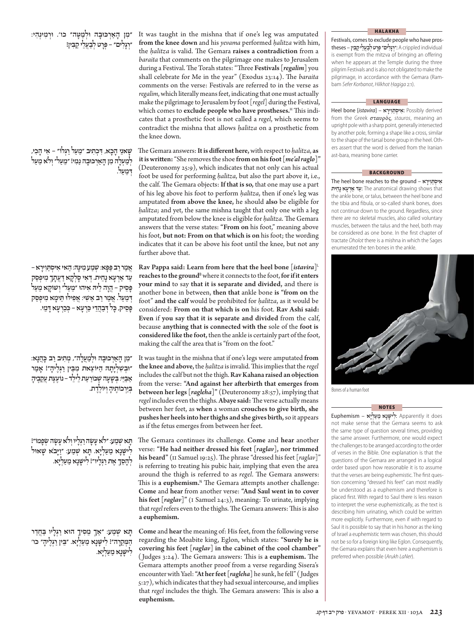**ִ״מן ָהַאְרּכּוָבה ּו ְלַמ ָּטה״ כו׳. ּוְרִמ ְינ ִהי: ְ״רָגִלים״ – ְּפָרט ְלַבֲעֵלי ַק ִּבין!** 

**ָׁש ֵאני ָהָכא, ִ ּד ְכ ִתיב ֵ״מַעל ַרְגלוֹ״ – ִאי ָה ִכי, ְלַמ ְעָלה ִמן ָהַאְרּכּוָבה ַנִמי! ֵ״מַעל״ ְולֹא ֵמַעל ְ ּדֵמַעל.**

**ֲאַמרַרב ַּפ ָּפא: ׁ ְשַמע ִמ ָּינ ּה: ַהאי ִא ְיס ַּתִוָירא – ַעד ַאְרָעא ָנֵחית. ְ ּד ִאי ָסְלָקאַּדֲעָת ְך ִמ ְיפַסק ָּפֵסיק – ֲהָוה ֵל ּיה ִא ּ יהו ֵ״מַעל״ ְו ׁש ָוֹקא ֵמַעל ְ ּדֵמַעל. ֲאַמרַרב ַאׁ ִשי: ֲא ִפ ּילּו ֵּת ָימא ִמ ְיפַסק ּכַכְרָעאָּדֵמי. ּכְרָעא – ְ ּכל ְ ּדַבֲהֵדי ַ ָּפֵסיק, ָ**

**ּכֲהָנא: ִ״מן ָהַאְרּכּוָבה ּוְלַמֲעָלה״, ְמ ִתיב ַרב ָ ּ״ו ְבׁ ִשְלָיָת ּה ַה ֵ יּוֹצאת ִמֵּבין ַרְגֶל ָיה״! ָאַמר ַאַּבֵיי: ְּבָׁשָעה ֶׁשּכַוֹרַעתֵל ֵילד – ֶ נוֹעֶצתֲעֵקֶב ָיה ּבְיֵרְכוֹתֵיהָ וְיוֹלֶדֶת.** 

**ָּתא ׁ ְשַמע: ״לֹא ָעָׂשהַרְגָליוְולֹא ָעָׂשה ְׂשָפמוֹ״! ִל ָּׁ ישָנא ַמַעְלָיא. ָּתא ׁ ְשַמע: ַ״וָיּבֹא ָׁש ּאול ְלָהֵס ְך ֶאתַרְגָליו״! ִל ָּׁ ישָנא ַמַעְלָיא.** 

**ָּתא ׁ ְשַמע: ַ״א ְך ֵמ ִס ְיך ּהוא ַרְגָליו ַּבֲחַדר ַה ְּמֵקָרה״! ִל ָּׁ ישָנא ַמַעְלָיא. ֵּ״בין ַרְגֶל ָיה״ כו׳ ִל ָּׁ ישָנא ַמַעְלָיא.** It was taught in the mishna that if one's leg was amputated **from the knee down** and his *yevama* performed *ĥalitza* with him, the *halitza* is valid. The Gemara raises a contradiction from a *baraita* that comments on the pilgrimage one makes to Jerusalem during a Festival. The Torah states: "Three Festivals [regalim] you shall celebrate for Me in the year" (Exodus 23:14). The *baraita* comments on the verse: Festivals are referred to in the verse as *regalim*, which literally means feet, indicating that one must actually make the pilgrimage to Jerusalem by foot [*regel*] during the Festival, which comes to exclude people who have prostheses.<sup>H</sup> This indicates that a prosthetic foot is not called a *regel*, which seems to contradict the mishna that allows *ĥalitza* on a prosthetic from the knee down.

The Gemara answers: It is different here, with respect to *ḥalitza*, as **it is writt en:** "She removes the shoe **from on his foot [***me'alraglo***]"**  (Deuteronomy 25:9), which indicates that not only can his actual foot be used for performing *ĥalitza*, but also the part above it, i.e., the calf. The Gemara objects: If that is so, that one may use a part of his leg above his foot to perform *ĥalitza*, then if one's leg was amputated **from above the knee,** he should **also** be eligible for *ĥalitza*; and yet, the same mishna taught that only one with a leg amputated from below the knee is eligible for *halitza*. The Gemara answers that the verse states: **"From on** his foot," meaning above his foot, **but not: From on that which is on** his foot; the wording indicates that it can be above his foot until the knee, but not any further above that.

**Rav Pappa said: Learn from here that the heel bone [***istavira***]**<sup>L</sup> reaches to the ground<sup>B</sup> where it connects to the foot, for if it enters **your mind** to say **that it is separate and divided,** and there is another bone in between, **then that** ankle bone **is "from on** the foot" **and the calf** would be prohibited for *ĥalitza*, as it would be considered: **From on that which is on** his foot. **Rav Ashi said: Even** if **you say that it is separate and divided** from the calf, because **anything that is connected with the** sole of the **foot is considered like the foot,** then the ankle is certainly part of the foot, making the calf the area that is "from on the foot."

It was taught in the mishna that if one's legs were amputated **from**  the knee and above, the *ḥalitza* is invalid. This implies that the *regel* includes the calf but not the thigh. **Rav Kahana raised an objection**  from the verse: "And against her afterbirth that emerges from **between her legs [ragleha]"** (Deuteronomy 28:57), implying that regel includes even the thighs. Abaye said: The verse actually means between her feet, as **when** a woman **crouches to give birth, she pushes her heels into her thighs and she gives birth,** so it appears as if the fetus emerges from between her feet.

The Gemara continues its challenge. Come and hear another verse: **"He had neither dressed his feet [***raglav***], nor trimmed**  his beard" (II Samuel 19:25). The phrase "dressed his feet [*raglav*]" is referring to treating his pubic hair, implying that even the area around the thigh is referred to as *regel*. The Gemara answers: This is a euphemism.<sup>N</sup> The Gemara attempts another challenge: **Come** and **hear** from another verse: **"And Saul went in to cover**  his feet  $\lceil \text{raglav} \rceil$ " (1 Samuel 24:3), meaning: To urinate, implying that regel refers even to the thighs. The Gemara answers: This is also **a euphemism.**

**Come** and **hear** the meaning of: His feet, from the following verse regarding the Moabite king, Eglon, which states: **"Surely he is covering his feet [***raglav***] in the cabinet of the cool chamber"**  (Judges 3:24). The Gemara answers: This is a euphemism. The Gemara attempts another proof from a verse regarding Sisera's encounter with Yael: **"At her feet [***ragleha***]** he sunk, he fell" ( Judges 5:27), which indicates that they had sexual intercourse, and implies that *regel* includes the thigh. The Gemara answers: This is also a **euphemism.**

### **HALAKHA**

 Festivals, comes to exclude people who have prostheses – **ביןִּ קַליֵעֲבַלְ רטָפְּ לים״ִגָ״רְ** : A crippled individual is exempt from the mitzva of bringing an offering when he appears at the Temple during the three pilgrim Festivals and is also not obligated to make the pilgrimage, in accordance with the Gemara (Rambam *Sefer Korbanot*, *Hilkhot Ĥagiga* 2:1).

#### **LANGUAGE**

 derived Possibly : **ִא ְיס ַּתִוָירא** – [*istavira* [bone Heel from the Greek σταυρός, *stauros*, meaning an upright pole with a sharp point, generally intersected by another pole, forming a shape like a cross, similar to the shape of the tarsal bone group in the heel. Others assert that the word is derived from the Iranian ast-bara, meaning bone carrier.

### **BACKGROUND**

 The heel bone reaches to the ground – **יראָוִתַּ יסְ אִ** that shows drawing anatomical The **ַ**:**עד ַאְרָעא ָנֵחית** the ankle bone, or talus, between the heel bone and the tibia and fibula, or so-called shank bones, does not continue down to the ground. Regardless, since there are no skeletal muscles, also called voluntary muscles, between the talus and the heel, both may be considered as one bone. In the first chapter of tractate *Oholot* there is a mishna in which the Sages enumerated the ten bones in the ankle.



Bones of a human foot

 does it Apparently : **ִל ָּׁ ישָנא ַמַעְלָיא** – Euphemism not make sense that the Gemara seems to ask the same type of question several times, providing the same answer. Furthermore, one would expect the challenges to be arranged according to the order of verses in the Bible. One explanation is that the questions of the Gemara are arranged in a logical order based upon how reasonable it is to assume that the verses are being euphemistic. The first question concerning "dressed his feet" can most readily be understood as a euphemism and therefore is placed first. With regard to Saul there is less reason to interpret the verse euphemistically, as the text is describing him urinating, which could be written more explicitly. Furthermore, even if with regard to Saul it is possible to say that in his honor as the king of Israel a euphemistic term was chosen, this should not be so for a foreign king like Eglon. Consequently, the Gemara explains that even here a euphemism is preferred when possible (*Arukh LaNer*). **NOTES**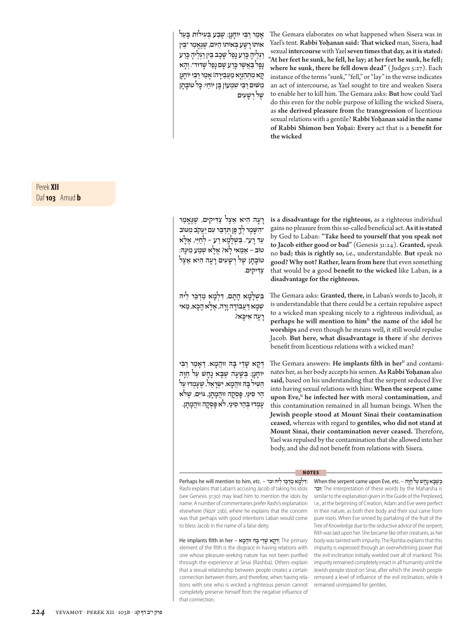**ָאַמרַרִּבי ָ יוֹחָנן: ֶׁשַבע ְּב ִעילוֹת ָּבַעל אוֹתוָֹרָׁשע ְּבאוֹתוֹ ַהיּוֹם, ֶׁשֶּנֱאַמר ֵּ״בין ּכַרע ּכַרע ָנַפל ָׁשָכב ֵּביןַרְגֶל ָיה ָ ַרְגֶל ָיה ָ ּכַרע ָׁשםָנַפל ָׁש ּדוד״. ְוָהא ָנָפל ַּבֲאֶׁשרָ ָקא ִמ ְתַהְנָיא ֵמֲעֵבָירה! ָאַמרַרִּבי ָ יוֹחָנן ּכל ָטוֹבָתן ִמּׁשּוםַרִּבי ׁ ִשְמעוֹן ֶּבן ַ יוֹחי: ָ ֶׁשל ְרָׁש ִעים**

The Gemara elaborates on what happened when Sisera was in Yael's tent. **Rabbi Yoĥanan said: Th at wicked** man, Sisera, **had**  sexual **intercourse** with Yael **seven times that day, as it is stated: "At her feet he sunk, he fell, he lay; at her feet he sunk, he fell;**  where he sunk, there he fell down dead" (Judges 5:27). Each instance of the terms "sunk," "fell," or "lay" in the verse indicates an act of intercourse, as Yael sought to tire and weaken Sisera to enable her to kill him. The Gemara asks: But how could Yael do this even for the noble purpose of killing the wicked Sisera, as **she derived pleasure from** the **transgression** of licentious sexual relations with a gentile? **Rabbi Yoĥanan said in the name of Rabbi Shimon ben Yoĥai: Every** act that is a **benefi t for the wicked** 

Perek **XII** Daf **103** Amud **b**

| רַעַה הִיא אֵצֵל צַדִּיקִים, שֵׁנֵאֲמַר<br>״הִשָּׁמֵר לְךָ מֵן תְּדַבֵּר עִם יַעֲקֹב מִטּוֹב<br>עַר רָע״. בִּשְׁלָמָא רַע - לְחַיֵּי, אֵלֵּא<br>טוב – אַמַּאי לַא? אֵלַא שִׁמַע מִינַּהּ:<br>טוֹבַתַן שֶׁל רְשַׁעִים רַעֲה הִיא אֵצֵל<br>צדיקים.          | is a disadvantage for the righteous, as a righteous individual<br>gains no pleasure from this so-called beneficial act. As it is stated<br>by God to Laban: "Take heed to yourself that you speak not<br>to Jacob either good or bad" (Genesis 31:24). Granted, speak<br>no bad; this is rightly so, i.e., understandable. But speak no<br>good? Why not? Rather, learn from here that even something<br>that would be a good benefit to the wicked like Laban, is a<br>disadvantage for the righteous.                                                                                                                                                                                                                            |
|-----------------------------------------------------------------------------------------------------------------------------------------------------------------------------------------------------------------------------------------------------------|------------------------------------------------------------------------------------------------------------------------------------------------------------------------------------------------------------------------------------------------------------------------------------------------------------------------------------------------------------------------------------------------------------------------------------------------------------------------------------------------------------------------------------------------------------------------------------------------------------------------------------------------------------------------------------------------------------------------------------|
| בִּשְׁלָמָא הָתָם, דִּלְמָא מַדְכַּר לֵיהּ<br>שִׁמָא דַעֲבוֹדָה זֶרָה, אֶלָא הָכָא, מַאי<br>ַרָעָה אִיכָא?                                                                                                                                                | The Gemara asks: <b>Granted, there,</b> in Laban's words to Jacob, it<br>is understandable that there could be a certain repulsive aspect<br>to a wicked man speaking nicely to a righteous individual, as<br>perhaps he will mention to him <sup>N</sup> the name of the idol he<br>worships and even though he means well, it still would repulse<br>Jacob. But here, what disadvantage is there if she derives<br>benefit from licentious relations with a wicked man?                                                                                                                                                                                                                                                          |
| דְקָא שָׁדֵי בָּה זוּהֲמָא. דַאָמַר רַבִּי<br>יוֹחָנְן: בְּשָׁעָה שֶׁבָּא נָחָשׁ עַל חַוָּה<br>הִטִּיל בָּהּ זוּהֲמָא. יִשְׂרָאֵל, שֶׁעֲמְדוּ עַל<br>הַר סִינַי, פָּסְקָה זוּהֲמָתָן, גּוֹיִם, שֶׁלֹּא<br>עָמְדוּ בְּהַר סִינַי, לֹא פָּסְקָה זוּהֲמֶתָן. | The Gemara answers: <b>He implants filth in her</b> and contami-<br>nates her, as her body accepts his semen. As Rabbi Yohanan also<br>said, based on his understanding that the serpent seduced Eve<br>into having sexual relations with him: When the serpent came<br>upon Eve, <sup>N</sup> he infected her with moral contamination, and<br>this contamination remained in all human beings. When the<br>Jewish people stood at Mount Sinai their contamination<br>ceased, whereas with regard to gentiles, who did not stand at<br>Mount Sinai, their contamination never ceased. Therefore,<br>Yael was repulsed by the contamination that she allowed into her<br>body, and she did not benefit from relations with Sisera. |

**NOTES**

**Perhaps he will mention to him, etc.** – ' י**דלמא מדכּר ליה** וכו׳ Rashi explains that Laban's accusing Jacob of taking his idols (see Genesis 31:30) may lead him to mention the idols by name. A number of commentaries prefer Rashi's explanation elsewhere (*Nazir* 23b), where he explains that the concern was that perhaps with good intentions Laban would come to bless Jacob in the name of a false deity.

 primary The **ְ**: **ּדָקא ָׁשֵדי ָּב ּה ּזוֲהָמא** – her in filth implants He element of the filth is the disgrace in having relations with one whose pleasure-seeking nature has not been purified through the experience at Sinai (Rashba). Others explain that a sexual relationship between people creates a certain connection between them, and therefore, when having relations with one who is wicked a righteous person cannot completely preserve himself from the negative influence of that connection.

 $\blacksquare$ בְּשֶׁבֵּא**ָנַחָשׁ עַלְ חוּה** – .When the serpent came upon Eve, etc **ְ וכו׳**: The interpretation of these words by the Maharsha is similar to the explanation given in the Guide of the Perplexed, i.e., at the beginning of Creation, Adam and Eve were perfect in their nature, as both their body and their soul came from pure roots. When Eve sinned by partaking of the fruit of the Tree of Knowledge due to the seductive advice of the serpent, filth was laid upon her. She became like other creatures, as her body was tainted with impurity. The Rashba explains that this impurity is expressed through an overwhelming power that the evil inclination initially wielded over all of mankind. This impurity remained completely intact in all humanity until the Jewish people stood on Sinai, after which the Jewish people removed a level of influence of the evil inclination, while it remained unimpaired for gentiles.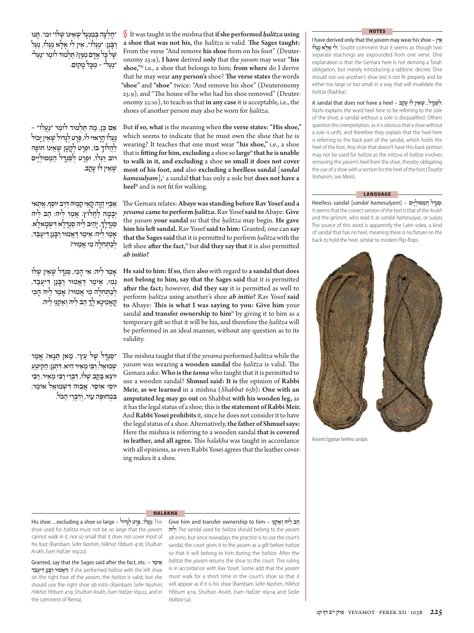**ָ״ח ְלָצה ְּב ִמְנָעל ֶׁשֵאינוֹ ֶׁשּלוֹ״וכו׳. ָּת ּנו ַרָּבַנן: ַ״נֲעלוֹ״, ֵאין ִלי ֶאָּלא ַנֲעלוֹ, ַנַעל ּכל ָאָדם ִמַּנִין? ַּתְל ּמוד ַלוֹמר ַ״נַעל״ ֶׁשל ָ ּכל ָמקוֹם. ַ״נַעל״ – ִמָ**

**ּכן, ַמה ַּתְל ּמוד ַ לוֹמר ַ״נֲעלוֹ״ – ִאם ֵ ַנֲעלוֹ ָהָר ּאוי לוֹ, ְּפָרט ְלָגדוֹל ֶׁשֵאיןָיכוֹל ַלֲה ְלוֹך ּבוֹ, ּו ְפָרט ְלָקָטן ֶׁשֵאינוֹ ֶחוֹפה רוֹב ַרְגלוֹ, ּו ְפָרט ְלַסְנָּדל ַה ְּמ ּסו ְלָיים ֶׁשֵאין לוֹ ָעֵקב.**

**ַאַּבֵייֲהָוהָקֵאי ַק ֵּמ ּיה ְ ּדַרב ֵ יוֹסף, ֲאַתאי ְיָבָמה ַלֲחלוֹץ. ֲאַמר ֵל ּיה: ַהב ֵל ּיה ַסְנָּדָל ְך, ָיֵהיב ֵל ּיה ַסְנָּדָלא ִ ּד ְׂשָמ ָאלא. ָאַמרֵל ּיה: ֵא ַימרַּדֲא ּמורַרָּבַנן ִ ּד ֲיעַבד, ּלה ִמי ֲאַמּור? ְלַכ ְּת ִחָ**

**ָאַמר ֵל ּיה: ִאי ָה ִכי, ַסְנָּדל ֶׁשֵאין ֶׁשּלוֹ ַנ ִמי, ֵא ַימר ַּדֲא ּמור ַרָּבַנן ִ ּד ֲיעַבד, ּלה ִמי ֲא ּמור? ָאַמר ֵל ּיה ָה ִכי ְלַכ ְּת ִחָ ָקָא ִמ ָינא ָל ְך ַהב ֵל ּיה ְוַא ְקֵני ֵל ּיה.** 

**ַ״סְנָּדל ֶׁשל ֵעץ״. ַמאן ַּתָּנא? ֲאַמר ׁ ְש ּמוֵאל: ַרִּבי ֵמ ִאיר ִהיא. ִ ּד ְתַנן: ַה ִּק ֵּיטע ֵ יוֹצא ַּבַּקב ֶׁשּלוֹ, ִ ּד ְבֵריַרִּבי ֵמ ִאיר. ַרִּבי ֵ יוֹסי ֵאוֹסר. ֲא ּבו ּה ִ ּד ׁ ְש ּמוֵאל ֵאוֹמר: ִּב ְמ ּחוֵּפה עוֹר, ְוִד ְבֵרי ַה ּכֹל.**

§ Itwas taught in the mishna that **if she performed** *ĥalitza* **using a shoe that was not his,** the *ĥalitza* is valid. **Th e Sages taught:**  From the verse "And remove **his shoe** from on his foot" (Deuteronomy ƦƩ:ƭ), **I have** derived **only** that the *yavam* may wear **"his shoe,"**<sup>N</sup>i.e., a shoe that belongs to him; **from where** do I derive that he may wear **any person's** shoe? **Th e verse states** the words **"shoe"** and **"shoe"** twice: "And remove his shoe" (Deuteronomy 25:9), and "The house of he who had his shoe removed" (Deuteronomy 25:10), to teach us that in any case it is acceptable, i.e., the shoes of another person may also be worn for *ĥalitza*.

But **if so, what** is the meaning when **the verse states: "His shoe,"**  which seems to indicate that he must own the shoe that he is wearing? It teaches that one must wear **"his shoe,"** i.e., a shoe that is fitting for him, excluding a shoe so large<sup>H</sup> that he is unable **to walk in it, and excluding** a shoe **so small it does not cover most of his foot, and** also **excluding a heelless sandal [***sandal hamesulyam***],**<sup>L</sup>a sandal **that** has only a sole but **does not have a**  heel<sup>N</sup> and is not fit for walking.

The Gemara relates: Abaye was standing before Rav Yosef and a *yevama* **came to perform** *ĥalitza***.** Rav Yosef**said to** Abaye: **Give**  the *yavam* **your sandal** so that the *ĥalitza* may begin. **He gave him his left sandal.** Rav Yosef**said to him:** Granted, one can **say that the Sages said** that it is permitt ed to perform *ĥalitza*with the left shoe after the fact,<sup>H</sup> but did they say that it is also permitted *ab initio***?** 

**He said to him: If so,** then **also** with regard to **a sandal that does**  not belong to him, say that the Sages said that it is permitted after the fact; however, did they say it is permitted as well to perform *ĥalitza* using another's shoe *ab initio***?** Rav Yosef **said to** Abaye: **Th is is what I was saying to you: Give him** your sandal and transfer ownership to him<sup>H</sup> by giving it to him as a temporary gift so that it will be his, and therefore the *ĥalitza* will be performed in an ideal manner, without any question as to its validity.

The mishna taught that if the *yevama* performed *halitza* while the *yavam* was wearing a wooden sandal the *halitza* is valid. The Gemara asks: Who is the *tanna* who taught that it is permitted to use a wooden sandal? **Shmuel said: It is** the opinion of **Rabbi**  Meir, as we learned in a mishna (*Shabbat* 65b): One with an **amputated leg may go out** on Shabbat **with his wooden leg,** as it has the legal status of a shoe; this is **the statement of Rabbi Meir.**  And **Rabbi Yosei prohibits** it, since he does not consider it to have the legal status of a shoe. Alternatively, **the father of Shmuel says:**  Here the mishna is referring to a wooden sandal **that is covered**  in leather, and all agree. This *halakha* was taught in accordance with all opinions, as even Rabbi Yosei agrees that the leather covering makes it a shoe.

### **NOTES**

 I have derived only that the *yavam* may wear his shoe – **איןֵ עלוֲֹנַ לאָּאֶ ליִ** : *Tosafot* comment that it seems as though two separate teachings are expounded from one verse. One explanation is that the Gemara here is not deriving a Torah obligation, but merely introducing a rabbinic decree. One should not use another's shoe lest it not fit properly and be either too large or too small in a way that will invalidate the *ĥalitza* (Rashba).

: **ְלַסְנָּדל...ֶׁשֵאין לוֹ ָעֵקב** – heel a have not does that sandal A Rashi explains the word heel here to be referring to the sole of the shoe; a sandal without a sole is disqualified. Others question this interpretation, as it is obvious that a shoe without a sole is unfit, and therefore they explain that the heel here is referring to the back part of the sandal, which holds the heel of the foot. Any shoe that doesn't have this back portion may not be used for *ĥalitza* as the mitzva of *ĥalitza* involves removing the *yavam's* heel from the shoe, thereby obligating the use of a shoe with a section for the heel of the foot (*Tosafot Yeshanim*; see Meiri).

#### **LANGUAGE**

**ַ**:**סְנָּדל ַה ְּמ ּסו ְלָיים** – [*hamesulyam sandal* [sandal Heelless It seems that the correct version of the text is that of the *Arukh* and the *ge'onim*, who read it as *sandal hamesulyas*, or *sulyas*. The source of this word is apparently the Latin solea, a kind of sandal that has no heel, meaning there is no fixture on the back to hold the heel, similar to modern flip-flops.



Ancient Egyptian heelless sandals

#### **HALAKHA**

 His shoe…excluding a shoe so large – **גדוֹלָלְ רטָפְּ...עלוֲֹנַ**: The shoe used for *ĥalitza* must not be so large that the *yavam* cannot walk in it, nor so small that it does not cover most of his foot (Rambam *Sefer Nashim*, *Hilkhot Yibbum* 4:18; *Shulĥan Arukh*, *Even HaEzer* 169:22).

 Granted, say that the Sages said after the fact, etc. – **ימרַ אֵ** shoe left the with *ĥalitza* performed she If **ַּ**:**דֲא ּמורַרָּבַנן ִ ּד ֲיעַבד** on the right foot of the *yavam*, the *ĥalitza* is valid, but she should use the right shoe *ab initio* (Rambam *Sefer Nashim*, *Hilkhot Yibbum* 4:19; *Shulĥan Arukh*, *Even HaEzer* 169:22, and in the comment of Rema).

**ַהב ֵל ּיה ְוַא ְקֵני** – him to ownership transfer and him Give **יהּ לֵ**: The sandal used for *ĥalitza* should belong to the *yavam ab initio*, but since nowadays the practice is to use the court's sandal, the court gives it to the *yavam* as a gift before *ĥalitza* so that it will belong to him during the *ĥalitza*. After the *ĥalitza* the *yavam* returns the shoe to the court. This ruling is in accordance with Rav Yosef. Some add that the *yavam* must walk for a short time in the court's shoe so that it will appear as if it is his shoe (Rambam *Sefer Nashim*, *Hilkhot Yibbum* 4:19; *Shulĥan Arukh*, *Even HaEzer* 169:14 and *Seder Ĥalitza* 54).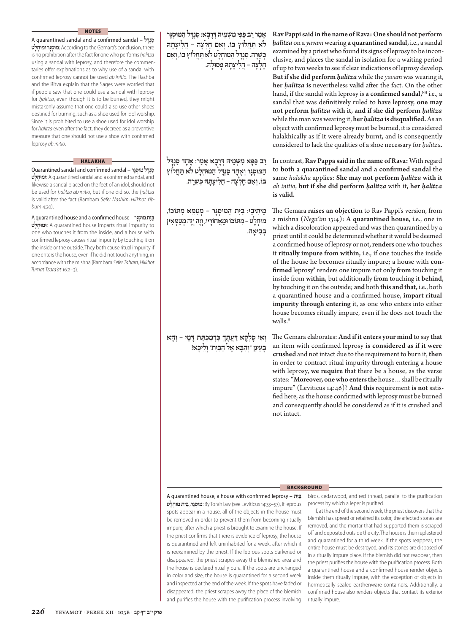### **NOTES**

 A quarantined sandal and a confirmed sandal – **דלָּנְסַ** there ,conclusion s'Gemara the to According : **ּמו ְסָּגר ּו ּמו ְחָלט** is no prohibition after the fact for one who performs *ĥalitza* using a sandal with leprosy, and therefore the commentaries offer explanations as to why use of a sandal with confirmed leprosy cannot be used *ab initio*. The Rashba and the Ritva explain that the Sages were worried that if people saw that one could use a sandal with leprosy for *ĥalitza*, even though it is to be burned, they might mistakenly assume that one could also use other shoes destined for burning, such as a shoe used for idol worship. Since it is prohibited to use a shoe used for idol worship for *ĥalitza* even after the fact, they decreed as a preventive measure that one should not use a shoe with confirmed leprosy *ab initio*.

### **HALAKHA**

**ַסְנָּדל ּמו ְסָּגר** – sandal confirmed and sandal Quarantined **לטָחְ מוּ וּ**: A quarantined sandal and a confirmed sandal, and likewise a sandal placed on the feet of an idol, should not be used for *ĥalitza ab initio*, but if one did so, the *ĥalitza* is valid after the fact (Rambam *Sefer Nashim*, *Hilkhot Yibbum* 4:20).

 A quarantined house and a confirmed house – **גרָּסְ מוּ יתִבַּ לטָחְ מוּ וּ**: A quarantined house imparts ritual impurity to one who touches it from the inside, and a house with confirmed leprosy causes ritual impurity by touching it on the inside or the outside. They both cause ritual impurity if one enters the house, even if he did not touch anything, in accordance with the mishna (Rambam *Sefer Tahara*, *Hilkhot Tumat Tzara'at* 16:2–3).

| אָמַר רַב פַּפִּי מִשְּׁמֵיה דְּרָבָא: סַנְדַּל הַמּוּסְגַּר<br>לֹא תַּחֲלוֹץ בּוֹ, וְאִם חָלְצָה – חֲלִיצָתָהּ<br>בְּשֵׁרָה. סַנְדְּל הַמּוּחְלָט לֹא תַּחֲלוֹץ בּוֹ, וְאִם<br>חַלְצַה - חֵלִיצַתַה פִּסוּלַה. | Rav Pappi said in the name of Rava: One should not perform<br>halitza on a yavam wearing a quarantined sandal, i.e., a sandal<br>examined by a priest who found its signs of leprosy to be incon-<br>clusive, and places the sandal in isolation for a waiting period<br>of up to two weeks to see if clear indications of leprosy develop.<br>But if she did perform <i>halitza</i> while the yavam was wearing it,<br>her halitza is nevertheless valid after the fact. On the other<br>hand, if the sandal with leprosy is a confirmed sandal, NH i.e., a<br>sandal that was definitively ruled to have leprosy, one may<br>not perform halitza with it, and if she did perform halitza<br>while the man was wearing it, her halitza is disqualified. As an<br>object with confirmed leprosy must be burned, it is considered<br>halakhically as if it were already burnt, and is consequently<br>considered to lack the qualities of a shoe necessary for halitza. |
|-----------------------------------------------------------------------------------------------------------------------------------------------------------------------------------------------------------------|------------------------------------------------------------------------------------------------------------------------------------------------------------------------------------------------------------------------------------------------------------------------------------------------------------------------------------------------------------------------------------------------------------------------------------------------------------------------------------------------------------------------------------------------------------------------------------------------------------------------------------------------------------------------------------------------------------------------------------------------------------------------------------------------------------------------------------------------------------------------------------------------------------------------------------------------------------------------|
| רַב פַּפָּא מִשְּׁמֵיהּ דְּרָבָא אֲמַר: אֶחָד סַגְדַל<br>בּוּ וְאִם חָלְצָה – חֲלִיצָתָה כְּשֵׁרָה.<br>הַמּוּסְגָר וְאֶחָד סַנְדָל הַמּוּחְלָט לֹא תַּחֲלוֹץ                                                    | In contrast, Rav Pappa said in the name of Rava: With regard<br>to both a quarantined sandal and a confirmed sandal the<br>same halakha applies: She may not perform halitza with it<br>ab initio, but if she did perform halitza with it, her halitza<br>is valid.                                                                                                                                                                                                                                                                                                                                                                                                                                                                                                                                                                                                                                                                                                    |
| מֵיתִיבֵי: בַּיְת הַמּוּסְגָּר – מְטַמֵּא מִתּוֹכוֹ,<br>מוּחִלַט – מִתּוֹכוֹ וּמֵאֲחוֹרָיו, וְזֶה וְזֶה מְטַמְּאִין<br>בִּבִיאֲה.                                                                               | The Gemara raises an objection to Rav Pappi's version, from<br>a mishna ( $Nega'im_1;4)$ : A quarantined house, i.e., one in<br>which a discoloration appeared and was then quarantined by a<br>priest until it could be determined whether it would be deemed<br>a confirmed house of leprosy or not, renders one who touches<br>it ritually impure from within, i.e., if one touches the inside<br>of the house he becomes ritually impure; a house with con-<br>firmed leprosy <sup>8</sup> renders one impure not only from touching it<br>inside from within, but additionally from touching it behind,<br>by touching it on the outside; and both this and that, i.e., both<br>a quarantined house and a confirmed house, impart ritual<br>impurity through entering it, as one who enters into either<br>house becomes ritually impure, even if he does not touch the<br>walls. <sup>H</sup>                                                                    |
| וְאִי סָלְקָא דַּעֲתָךְ כִּדְמִכְתַּת דָּמֵי – וְהָא<br>בְעֵינַן "וְהַבָּא אֶל הַבַּיִת" וְלֵיכָּא!                                                                                                             | The Gemara elaborates: And if it enters your mind to say that<br>an item with confirmed leprosy is considered as if it were<br>crushed and not intact due to the requirement to burn it, then<br>in order to contract ritual impurity through entering a house<br>with leprosy, we require that there be a house, as the verse<br>states: "Moreover, one who enters the house  shall be ritually<br>impure" (Leviticus $14:46$ )? And this requirement is not satis-<br>fied here, as the house confirmed with leprosy must be burned<br>and consequently should be considered as if it is crushed and<br>not intact.                                                                                                                                                                                                                                                                                                                                                  |

**BACKGROUND**

## A quarantined house, a house with confirmed leprosy – **יתִבַּ**

 leprous if ,)57–14:33 Leviticus see (law Torah By : **ּמּו ְסָּגר, ַּבִית ּמו ְחָלט** spots appear in a house, all of the objects in the house must be removed in order to prevent them from becoming ritually impure, after which a priest is brought to examine the house. If the priest confirms that there is evidence of leprosy, the house is quarantined and left uninhabited for a week, after which it is reexamined by the priest. If the leprous spots darkened or disappeared, the priest scrapes away the blemished area and the house is declared ritually pure. If the spots are unchanged in color and size, the house is quarantined for a second week and inspected at the end of the week. If the spots have faded or disappeared, the priest scrapes away the place of the blemish and purifies the house with the purification process involving

birds, cedarwood, and red thread, parallel to the purification process by which a leper is purified.

If, at the end of the second week, the priest discovers that the blemish has spread or retained its color, the affected stones are removed, and the mortar that had supported them is scraped off and deposited outside the city. The house is then replastered and quarantined for a third week. If the spots reappear, the entire house must be destroyed, and its stones are disposed of in a ritually impure place. If the blemish did not reappear, then the priest purifies the house with the purification process. Both a quarantined house and a confirmed house render objects inside them ritually impure, with the exception of objects in hermetically sealed earthenware containers. Additionally, a confirmed house also renders objects that contact its exterior ritually impure.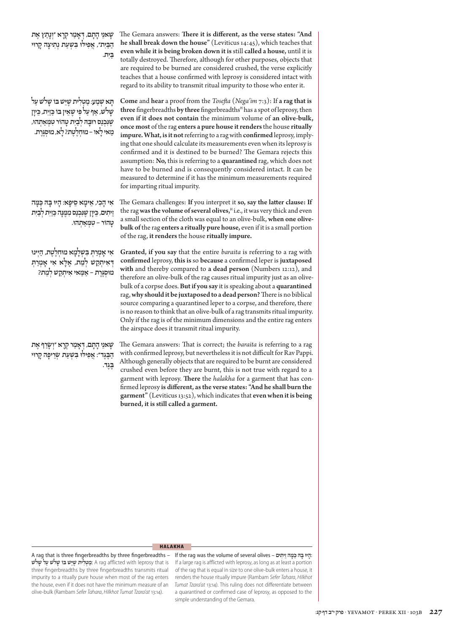| שְׁאנֵי הָתָם, דְּאָמַר קְרָא ״וְנָתַץ אֶת<br>הַבַּיִת", אֲפִילוּ בִּשְׁעַת נְתִיצָה קָרוּי<br>בית.                                                                                                       | The Gemara answers: There it is different, as the verse states: "And<br>he shall break down the house" (Leviticus $14:45$ ), which teaches that<br>even while it is being broken down it is still called a house, until it is<br>totally destroyed. Therefore, although for other purposes, objects that<br>are required to be burned are considered crushed, the verse explicitly<br>teaches that a house confirmed with leprosy is considered intact with<br>regard to its ability to transmit ritual impurity to those who enter it.                                                                                                                                                                                                                                                                                     |  |
|-----------------------------------------------------------------------------------------------------------------------------------------------------------------------------------------------------------|-----------------------------------------------------------------------------------------------------------------------------------------------------------------------------------------------------------------------------------------------------------------------------------------------------------------------------------------------------------------------------------------------------------------------------------------------------------------------------------------------------------------------------------------------------------------------------------------------------------------------------------------------------------------------------------------------------------------------------------------------------------------------------------------------------------------------------|--|
| תַּא שְׁמֲעָ: מַטְלִית שֶׁיֵּשׁ בּוֹ שַׁלֹּשׁ עַל<br>שַׁלֹש, אַף עַל פּי שֵׁאַין בּוֹ כַּזִּיִת, כִּיוַן<br>שֵׁנִּכְנַם רוּבָּהּ לְבַיִת טַהוֹר טִמְּאַתְהוּ,<br>מַאי לַאו - מוּחְלֵטֶת? לַא, מוּסְגֵרֶת. | <b>Come</b> and hear a proof from the <i>Tosefta</i> ( <i>Nega'im</i> $7:3$ ): If a rag that is<br>three fingerbreadths by three fingerbreadths <sup>H</sup> has a spot of leprosy, then<br>even if it does not contain the minimum volume of an olive-bulk,<br>once most of the rag enters a pure house it renders the house ritually<br>impure. What, is it not referring to a rag with confirmed leprosy, imply-<br>ing that one should calculate its measurements even when its leprosy is<br>confirmed and it is destined to be burned? The Gemara rejects this<br>assumption: No, this is referring to a quarantined rag, which does not<br>have to be burned and is consequently considered intact. It can be<br>measured to determine if it has the minimum measurements required<br>for imparting ritual impurity. |  |
| אִי הָכִי, אֵיכָא סֵיפָא: הָיוּ בָּהּ כַּמָּה<br>זֵיתִים, בֵּיוָן שֶׁנִּכְנַם מִמֶּנָּה כַּזַיִת לְבַיִת<br>טַהוֹר - טְמְאַתְהוּ.                                                                         | The Gemara challenges: If you interpret it so, say the latter clause: If<br>the rag was the volume of several olives, <sup>H</sup> i.e., it was very thick and even<br>a small section of the cloth was equal to an olive-bulk, when one olive-<br>bulk of the rag enters a ritually pure house, even if it is a small portion<br>of the rag, it renders the house ritually impure.                                                                                                                                                                                                                                                                                                                                                                                                                                         |  |
| אִי אַמְרַתְּ בִּשְׁלַמָּא מוּחְלֵטֵת, הַיִּינוּ<br>דְּאִיתְקַשׁ לְמֵת, אֶלָּא אִי אָמְרַתְּ<br>מוסגרת - אַמַּאי אִיתְקַשׁ לְמֶת?                                                                         | Granted, if you say that the entire baraita is referring to a rag with<br>confirmed leprosy, this is so because a confirmed leper is juxtaposed<br>with and thereby compared to a dead person (Numbers $12:12$ ), and<br>therefore an olive-bulk of the rag causes ritual impurity just as an olive-<br>bulk of a corpse does. But if you say it is speaking about a quarantined<br>rag, why should it be juxtaposed to a dead person? There is no biblical<br>source comparing a quarantined leper to a corpse, and therefore, there<br>is no reason to think that an olive-bulk of a rag transmits ritual impurity.<br>Only if the rag is of the minimum dimensions and the entire rag enters<br>the airspace does it transmit ritual impurity.                                                                           |  |
| שָׁאנֵי הָתָם, דְּאָמַר קְרָא ״וְשָׂרַף אֶת<br>הַבֶּגֶד״: אֲפִילוּ בִּשְׁעַת שְׂרֵיפָה קָרוּי<br>בֵּגֵד.                                                                                                  | The Gemara answers: That is correct; the baraita is referring to a rag<br>with confirmed leprosy, but nevertheless it is not difficult for Rav Pappi.<br>Although generally objects that are required to be burnt are considered<br>crushed even before they are burnt, this is not true with regard to a<br>garment with leprosy. There the halakha for a garment that has con-<br>firmed leprosy is different, as the verse states: "And he shall burn the<br>$\,$ garment" (Leviticus 13:52), which indicates that even when it is being<br>burned, it is still called a garment.                                                                                                                                                                                                                                        |  |

### **HALAKHA**

 A rag that is three fingerbreadths by three fingerbreadths – If the rag was the volume of several olives – **יתיםִ זֵמהָּ כַּ הּ בָּ יוּ הָ**: **מַמְלִית שֵיֵשׁ בּוֹ שֵׁלֹשׁ עַל שַׁלֹשׁ:** A rag afflicted with leprosy that is If a large rag is afflicted with leprosy, as long as at least a portion three fingerbreadths by three fingerbreadths transmits ritual impurity to a ritually pure house when most of the rag enters the house, even if it does not have the minimum measure of an *Tumat Tzara'at* 13:14). This ruling does not differentiate between olive-bulk (Rambam *Sefer Tahara*, *Hilkhot Tumat Tzara'at* 13:14).

of the rag that is equal in size to one olive-bulk enters a house, it renders the house ritually impure (Rambam *Sefer Tahara*, *Hilkhot*  a quarantined or confirmed case of leprosy, as opposed to the simple understanding of the Gemara.